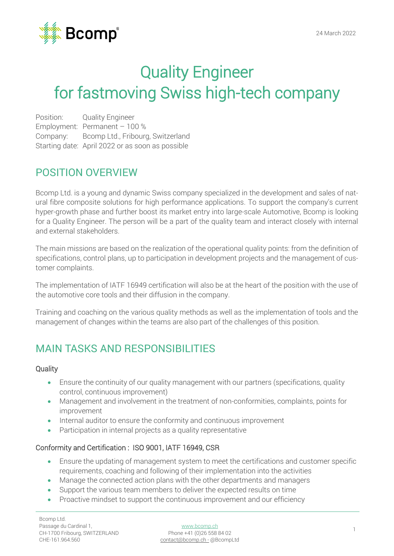

# Quality Engineer for fastmoving Swiss high-tech company

Position: Quality Engineer Employment: Permanent – 100 % Company: Bcomp Ltd., Fribourg, Switzerland Starting date: April 2022 or as soon as possible

### POSITION OVERVIEW

Bcomp Ltd. is a young and dynamic Swiss company specialized in the development and sales of natural fibre composite solutions for high performance applications. To support the company's current hyper-growth phase and further boost its market entry into large-scale Automotive, Bcomp is looking for a Quality Engineer. The person will be a part of the quality team and interact closely with internal and external stakeholders.

The main missions are based on the realization of the operational quality points: from the definition of specifications, control plans, up to participation in development projects and the management of customer complaints.

The implementation of IATF 16949 certification will also be at the heart of the position with the use of the automotive core tools and their diffusion in the company.

Training and coaching on the various quality methods as well as the implementation of tools and the management of changes within the teams are also part of the challenges of this position.

### MAIN TASKS AND RESPONSIBILITIES

#### **Quality**

- Ensure the continuity of our quality management with our partners (specifications, quality control, continuous improvement)
- Management and involvement in the treatment of non-conformities, complaints, points for improvement
- Internal auditor to ensure the conformity and continuous improvement
- Participation in internal projects as a quality representative

#### Conformity and Certification : ISO 9001, IATF 16949, CSR

- Ensure the updating of management system to meet the certifications and customer specific requirements, coaching and following of their implementation into the activities
- Manage the connected action plans with the other departments and managers
- Support the various team members to deliver the expected results on time
- Proactive mindset to support the continuous improvement and our efficiency